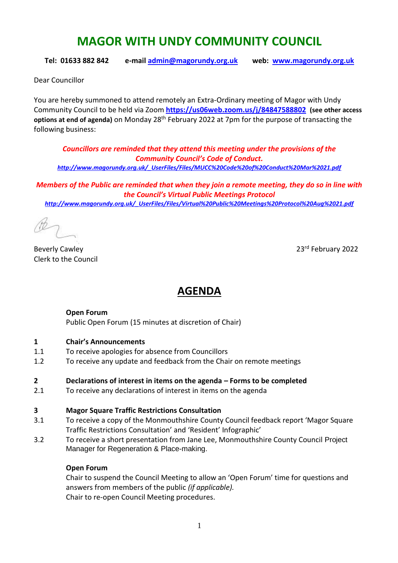# **MAGOR WITH UNDY COMMUNITY COUNCIL**

**Tel: 01633 882 842 e-mail [admin@magorundy.org.uk](mailto:admin@magorundy.org.uk) web: [www.magorundy.org.uk](http://www.magorundy.org.uk/)**

Dear Councillor

You are hereby summoned to attend remotely an Extra-Ordinary meeting of Magor with Undy Community Council to be held via Zoom **<https://us06web.zoom.us/j/84847588802> (see other access options at end of agenda)** on Monday 28th February 2022 at 7pm for the purpose of transacting the following business:

*Councillors are reminded that they attend this meeting under the provisions of the Community Council's Code of Conduct. [http://www.magorundy.org.uk/\\_UserFiles/Files/MUCC%20Code%20of%20Conduct%20Mar%2021.pdf](http://www.magorundy.org.uk/_UserFiles/Files/MUCC%20Code%20of%20Conduct%20Mar%2021.pdf)*

*Members of the Public are reminded that when they join a remote meeting, they do so in line with the Council's Virtual Public Meetings Protocol [http://www.magorundy.org.uk/\\_UserFiles/Files/Virtual%20Public%20Meetings%20Protocol%20Aug%2021.pdf](http://www.magorundy.org.uk/_UserFiles/Files/Virtual%20Public%20Meetings%20Protocol%20Aug%2021.pdf)*

Beverly Cawley 2022 Clerk to the Council

## **AGENDA**

#### **Open Forum**

Public Open Forum (15 minutes at discretion of Chair)

#### **1 Chair's Announcements**

- 1.1 To receive apologies for absence from Councillors
- 1.2 To receive any update and feedback from the Chair on remote meetings

#### **2 Declarations of interest in items on the agenda – Forms to be completed**

2.1 To receive any declarations of interest in items on the agenda

#### **3 Magor Square Traffic Restrictions Consultation**

- 3.1 To receive a copy of the Monmouthshire County Council feedback report 'Magor Square Traffic Restrictions Consultation' and 'Resident' Infographic'
- 3.2 To receive a short presentation from Jane Lee, Monmouthshire County Council Project Manager for Regeneration & Place-making.

#### **Open Forum**

Chair to suspend the Council Meeting to allow an 'Open Forum' time for questions and answers from members of the public *(if applicable).* Chair to re-open Council Meeting procedures.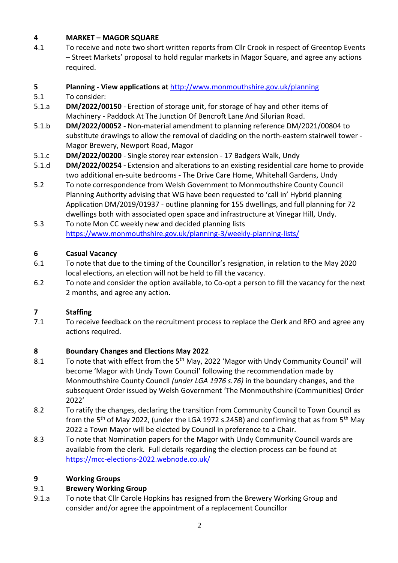## **4 MARKET – MAGOR SQUARE**

4.1 To receive and note two short written reports from Cllr Crook in respect of Greentop Events – Street Markets' proposal to hold regular markets in Magor Square, and agree any actions required.

## **5 Planning - View applications at** <http://www.monmouthshire.gov.uk/planning>

- 5.1 To consider:
- 5.1.a **DM/2022/00150**  Erection of storage unit, for storage of hay and other items of Machinery - Paddock At The Junction Of Bencroft Lane And Silurian Road.
- 5.1.b **DM/2022/00052 -** Non-material amendment to planning reference DM/2021/00804 to substitute drawings to allow the removal of cladding on the north-eastern stairwell tower - Magor Brewery, Newport Road, Magor
- 5.1.c **DM/2022/00200**  Single storey rear extension 17 Badgers Walk, Undy
- 5.1.d **DM/2022/00254 -** Extension and alterations to an existing residential care home to provide two additional en-suite bedrooms - The Drive Care Home, Whitehall Gardens, Undy
- 5.2 To note correspondence from Welsh Government to Monmouthshire County Council Planning Authority advising that WG have been requested to 'call in' Hybrid planning Application DM/2019/01937 - outline planning for 155 dwellings, and full planning for 72 dwellings both with associated open space and infrastructure at Vinegar Hill, Undy.
- 5.3 To note Mon CC weekly new and decided planning lists <https://www.monmouthshire.gov.uk/planning-3/weekly-planning-lists/>

#### **6 Casual Vacancy**

- 6.1 To note that due to the timing of the Councillor's resignation, in relation to the May 2020 local elections, an election will not be held to fill the vacancy.
- 6.2 To note and consider the option available, to Co-opt a person to fill the vacancy for the next 2 months, and agree any action.

## **7 Staffing**

7.1 To receive feedback on the recruitment process to replace the Clerk and RFO and agree any actions required.

#### **8 Boundary Changes and Elections May 2022**

- 8.1 To note that with effect from the 5<sup>th</sup> May, 2022 'Magor with Undy Community Council' will become 'Magor with Undy Town Council' following the recommendation made by Monmouthshire County Council *(under LGA 1976 s.76)* in the boundary changes, and the subsequent Order issued by Welsh Government 'The Monmouthshire (Communities) Order 2022'
- 8.2 To ratify the changes, declaring the transition from Community Council to Town Council as from the 5<sup>th</sup> of May 2022, (under the LGA 1972 s.245B) and confirming that as from 5<sup>th</sup> May 2022 a Town Mayor will be elected by Council in preference to a Chair.
- 8.3 To note that Nomination papers for the Magor with Undy Community Council wards are available from the clerk. Full details regarding the election process can be found at <https://mcc-elections-2022.webnode.co.uk/>

#### **9 Working Groups**

#### 9.1 **Brewery Working Group**

9.1.a To note that Cllr Carole Hopkins has resigned from the Brewery Working Group and consider and/or agree the appointment of a replacement Councillor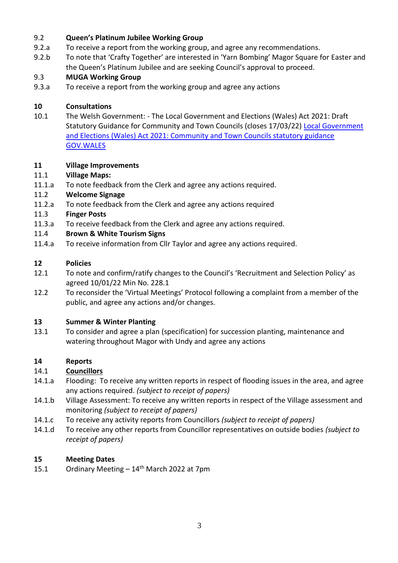#### 9.2 **Queen's Platinum Jubilee Working Group**

- 9.2.a To receive a report from the working group, and agree any recommendations.
- 9.2.b To note that 'Crafty Together' are interested in 'Yarn Bombing' Magor Square for Easter and the Queen's Platinum Jubilee and are seeking Council's approval to proceed.

#### 9.3 **MUGA Working Group**

9.3.a To receive a report from the working group and agree any actions

## **10 Consultations**

10.1 The Welsh Government: - The Local Government and Elections (Wales) Act 2021: Draft Statutory Guidance for Community and Town Councils (closes 17/03/22) Local Government [and Elections \(Wales\) Act 2021: Community and Town Councils statutory guidance](https://eur01.safelinks.protection.outlook.com/?url=https%3A%2F%2Fgov.wales%2Flocal-government-and-elections-wales-act-2021-community-and-town-councils-statutory-guidance&data=04%7C01%7CTim.Donegani%40gov.wales%7C6e9dcaa8cbe6407f475b08d9c07ff061%7Ca2cc36c592804ae78887d06dab89216b%7C0%7C0%7C637752477982030045%7CUnknown%7CTWFpbGZsb3d8eyJWIjoiMC4wLjAwMDAiLCJQIjoiV2luMzIiLCJBTiI6Ik1haWwiLCJXVCI6Mn0%3D%7C3000&sdata=jAe1JMc37NgDAYhmPZoF80LkNbWaND1m5UQ3vZeWBaU%3D&reserved=0)  [GOV.WALES](https://eur01.safelinks.protection.outlook.com/?url=https%3A%2F%2Fgov.wales%2Flocal-government-and-elections-wales-act-2021-community-and-town-councils-statutory-guidance&data=04%7C01%7CTim.Donegani%40gov.wales%7C6e9dcaa8cbe6407f475b08d9c07ff061%7Ca2cc36c592804ae78887d06dab89216b%7C0%7C0%7C637752477982030045%7CUnknown%7CTWFpbGZsb3d8eyJWIjoiMC4wLjAwMDAiLCJQIjoiV2luMzIiLCJBTiI6Ik1haWwiLCJXVCI6Mn0%3D%7C3000&sdata=jAe1JMc37NgDAYhmPZoF80LkNbWaND1m5UQ3vZeWBaU%3D&reserved=0)

#### **11 Village Improvements**

#### 11.1 **Village Maps:**

11.1.a To note feedback from the Clerk and agree any actions required.

#### 11.2 **Welcome Signage**

- 11.2.a To note feedback from the Clerk and agree any actions required
- 11.3 **Finger Posts**
- 11.3.a To receive feedback from the Clerk and agree any actions required.

#### 11.4 **Brown & White Tourism Signs**

11.4.a To receive information from Cllr Taylor and agree any actions required.

#### **12 Policies**

- 12.1 To note and confirm/ratify changes to the Council's 'Recruitment and Selection Policy' as agreed 10/01/22 Min No. 228.1
- 12.2 To reconsider the 'Virtual Meetings' Protocol following a complaint from a member of the public, and agree any actions and/or changes.

#### **13 Summer & Winter Planting**

13.1 To consider and agree a plan (specification) for succession planting, maintenance and watering throughout Magor with Undy and agree any actions

## **14 Reports**

#### 14.1 **Councillors**

- 14.1.a Flooding: To receive any written reports in respect of flooding issues in the area, and agree any actions required. *(subject to receipt of papers)*
- 14.1.b Village Assessment: To receive any written reports in respect of the Village assessment and monitoring *(subject to receipt of papers)*
- 14.1.c To receive any activity reports from Councillors *(subject to receipt of papers)*
- 14.1.d To receive any other reports from Councillor representatives on outside bodies *(subject to receipt of papers)*

#### **15 Meeting Dates**

15.1 Ordinary Meeting  $-14<sup>th</sup>$  March 2022 at 7pm